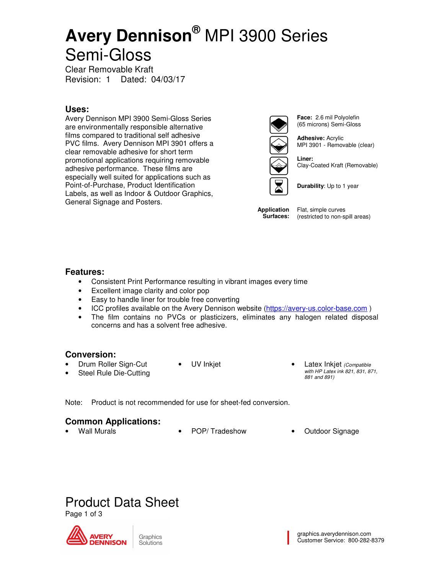# **Avery Dennison®** MPI 3900 Series Semi-Gloss

Clear Removable Kraft Revision: 1 Dated: 04/03/17

## **Uses:**

Avery Dennison MPI 3900 Semi-Gloss Series are environmentally responsible alternative films compared to traditional self adhesive PVC films. Avery Dennison MPI 3901 offers a clear removable adhesive for short term promotional applications requiring removable adhesive performance. These films are especially well suited for applications such as Point-of-Purchase, Product Identification Labels, as well as Indoor & Outdoor Graphics, General Signage and Posters.



**Face:** 2.6 mil Polyolefin (65 microns) Semi-Gloss

**Adhesive:** Acrylic MPI 3901 - Removable (clear)

**Liner:** Clay-Coated Kraft (Removable)



**Application Surfaces:** 

Flat, simple curves (restricted to non-spill areas)

### **Features:**

- Consistent Print Performance resulting in vibrant images every time
- Excellent image clarity and color pop
- Easy to handle liner for trouble free converting
- ICC profiles available on the Avery Dennison website (https://avery-us.color-base.com)
- The film contains no PVCs or plasticizers, eliminates any halogen related disposal concerns and has a solvent free adhesive.

### **Conversion:**

• Drum Roller Sign-Cut

Steel Rule Die-Cutting

- 
- UV Inkjet Latex Inkjet (Compatible with HP Latex ink 821, 831, 871, 881 and 891)

Note: Product is not recommended for use for sheet-fed conversion.

### **Common Applications:**

- - Wall Murals POP/ Tradeshow Outdoor Signage
		-



Page 1 of 3

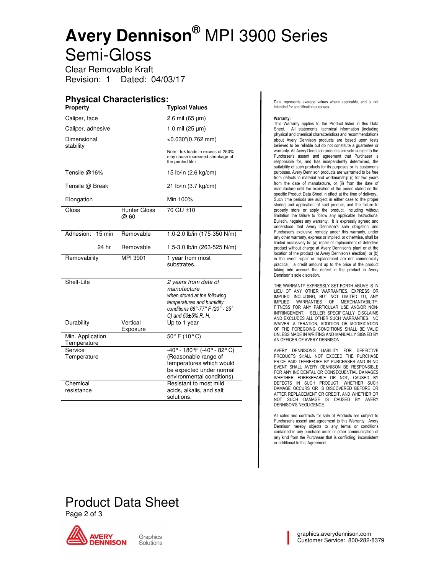# **Avery Dennison®** MPI 3900 Series Semi-Gloss

Clear Removable Kraft Revision: 1 Dated: 04/03/17

### **Physical Characteristics:**

| <b>Property</b>          |                             | <b>Typical Values</b>                                                                      |  |
|--------------------------|-----------------------------|--------------------------------------------------------------------------------------------|--|
| Caliper, face            |                             | 2.6 mil $(65 \,\mu m)$                                                                     |  |
| Caliper, adhesive        |                             | 1.0 mil $(25 \mu m)$                                                                       |  |
| Dimensional<br>stability |                             | $<$ 0.030"(0.762 mm)                                                                       |  |
|                          |                             | Note: Ink loads in excess of 250%<br>may cause increased shrinkage of<br>the printed film. |  |
| Tensile $@16%$           |                             | 15 lb/in (2.6 kg/cm)                                                                       |  |
| Tensile @ Break          |                             | 21 lb/in (3.7 kg/cm)                                                                       |  |
| Elongation               |                             | Min 100%                                                                                   |  |
| Gloss                    | <b>Hunter Gloss</b><br>@ 60 | $\overline{70}$ GU $\pm$ 10                                                                |  |
|                          |                             |                                                                                            |  |
| Adhesion:<br>$15$ min    | Removable                   | 1.0-2.0 lb/in (175-350 N/m)                                                                |  |
| 24 hr                    | Removable                   | 1.5-3.0 lb/in (263-525 N/m)                                                                |  |
| Removability             | MPI 3901                    | 1 year from most<br>substrates.                                                            |  |
|                          |                             |                                                                                            |  |
| Shelf-Life               |                             | 2 years from date of                                                                       |  |
|                          |                             | manufacture                                                                                |  |
|                          |                             | when stored at the following                                                               |  |
|                          |                             | temperatures and humidity                                                                  |  |
|                          |                             | conditions 68°-77° F (20° - 25°<br>C) and $50\pm5\%$ R. H.                                 |  |
| Durability               | Vertical                    | Up to 1 year                                                                               |  |
|                          | Exposure                    |                                                                                            |  |
| Min. Application         |                             | $50^{\circ}$ F (10 $^{\circ}$ C)                                                           |  |
| Temperature              |                             |                                                                                            |  |
| Service                  |                             | $-40^{\circ}$ - 180 °F (-40 $^{\circ}$ - 82 $^{\circ}$ C)                                  |  |
| Temperature              |                             | (Reasonable range of                                                                       |  |
|                          |                             | temperatures which would                                                                   |  |
|                          |                             | be expected under normal                                                                   |  |
|                          |                             | environmental conditions).                                                                 |  |
| Chemical                 |                             | Resistant to most mild                                                                     |  |
| resistance               |                             | acids, alkalis, and salt<br>solutions.                                                     |  |

Data represents average values where applicable, and is not intended for specification purposes.

#### Warranty:

This Warranty applies to the Product listed in this Data Sheet. All statements, technical information (including physical and chemical characteristics) and recommendations about Avery Dennison products are based upon tests believed to be reliable but do not constitute a guarantee or warranty. All Avery Dennison products are sold subject to the Purchaser's assent and agreement that Purchaser is responsible for, and has independently determined, the suitability of such products for its purposes or its customer's purposes. Avery Dennison products are warranted to be free from defects in material and workmanship (i) for two years from the date of manufacture, or (ii) from the date of manufacture until the expiration of the period stated on the specific Product Data Sheet in effect at the time of delivery.. Such time periods are subject in either case to the proper storing and application of said product, and the failure to properly store or apply the product, including without limitation the failure to follow any applicable Instructional Bulletin, negates any warranty. It is expressly agreed and understood that Avery Dennison's sole obligation and Purchaser's exclusive remedy under this warranty, under any other warranty, express or implied, or otherwise, shall be limited exclusively to: (a) repair or replacement of defective product without charge at Avery Dennison's plant or at the location of the product (at Avery Dennison's election), or (b) in the event repair or replacement are not commercially practical, a credit amount up to the price of the product taking into account the defect in the product in Avery Dennison's sole discretion.

THE WARRANTY EXPRESSLY SET FORTH ABOVE IS IN LIEU OF ANY OTHER WARRANTIES, EXPRESS OR IMPLIED, INCLUDING, BUT NOT LIMITED TO, ANY IMPLIED WARRANTIES OF MERCHANTABILITY, FITNESS FOR ANY PARTICULAR USE AND/OR NON-INFRINGEMENT. SELLER SPECIFICALLY DISCLAIMS AND EXCLUDES ALL OTHER SUCH WARRANTIES. NO WAIVER, ALTERATION, ADDITION OR MODIFICATION OF THE FOREGOING CONDITIONS SHALL BE VALID UNLESS MADE IN WRITING AND MANUALLY SIGNED BY AN OFFICER OF AVERY DENNISON.

AVERY DENNISON'S LIABILITY FOR DEFECTIVE PRODUCTS SHALL NOT EXCEED THE PURCHASE PRICE PAID THEREFORE BY PURCHASER AND IN NO EVENT SHALL AVERY DENNISON BE RESPONSIBLE FOR ANY INCIDENTAL OR CONSEQUENTIAL DAMAGES WHETHER FORESEEABLE OR NOT, CAUSED BY DEFECTS IN SUCH PRODUCT, WHETHER SUCH DAMAGE OCCURS OR IS DISCOVERED BEFORE OR AFTER REPLACEMENT OR CREDIT, AND WHETHER OR NOT SUCH DAMAGE IS CAUSED BY AVERY DENNISON'S NEGLIGENCE.

All sales and contracts for sale of Products are subject to Purchaser's assent and agreement to this Warranty. Avery Dennison hereby objects to any terms or conditions contained in any purchase order or other communication of any kind from the Purchaser that is conflicting, inconsistent or additional to this Agreement

# Product Data Sheet

Page 2 of 3